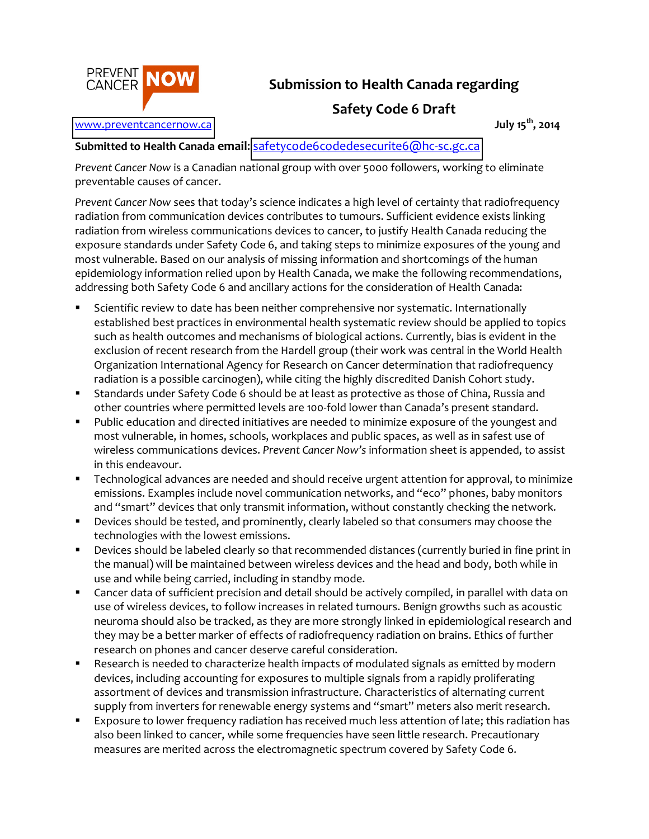

# Submission to Health Canada regarding

## **Safety Code 6 Draft**

#### www.preventcancernow.ca

## July 15<sup>th</sup>, 2014

### Submitted to Health Canada email: safetycode6codedesecurite6@hc-sc.gc.ca

Prevent Cancer Now is a Canadian national group with over 5000 followers, working to eliminate preventable causes of cancer.

Prevent Cancer Now sees that today's science indicates a high level of certainty that radiofrequency radiation from communication devices contributes to tumours. Sufficient evidence exists linking radiation from wireless communications devices to cancer, to justify Health Canada reducing the exposure standards under Safety Code 6, and taking steps to minimize exposures of the young and most vulnerable. Based on our analysis of missing information and shortcomings of the human epidemiology information relied upon by Health Canada, we make the following recommendations, addressing both Safety Code 6 and ancillary actions for the consideration of Health Canada:

- Scientific review to date has been neither comprehensive nor systematic. Internationally established best practices in environmental health systematic review should be applied to topics such as health outcomes and mechanisms of biological actions. Currently, bias is evident in the exclusion of recent research from the Hardell group (their work was central in the World Health Organization International Agency for Research on Cancer determination that radiofrequency radiation is a possible carcinogen), while citing the highly discredited Danish Cohort study.
- Standards under Safety Code 6 should be at least as protective as those of China, Russia and  $\blacksquare$ other countries where permitted levels are 100-fold lower than Canada's present standard.
- Public education and directed initiatives are needed to minimize exposure of the youngest and  $\blacksquare$  . most vulnerable, in homes, schools, workplaces and public spaces, as well as in safest use of wireless communications devices. Prevent Cancer Now's information sheet is appended, to assist in this endeavour.
- Technological advances are needed and should receive urgent attention for approval, to minimize  $\blacksquare$ emissions. Examples include novel communication networks, and "eco" phones, baby monitors and "smart" devices that only transmit information, without constantly checking the network.
- Devices should be tested, and prominently, clearly labeled so that consumers may choose the  $\blacksquare$ technologies with the lowest emissions.
- Devices should be labeled clearly so that recommended distances (currently buried in fine print in  $\blacksquare$ the manual) will be maintained between wireless devices and the head and body, both while in use and while being carried, including in standby mode.
- $\blacksquare$ Cancer data of sufficient precision and detail should be actively compiled, in parallel with data on use of wireless devices, to follow increases in related tumours. Benign growths such as acoustic neuroma should also be tracked, as they are more strongly linked in epidemiological research and they may be a better marker of effects of radiofrequency radiation on brains. Ethics of further research on phones and cancer deserve careful consideration.
- $\blacksquare$ Research is needed to characterize health impacts of modulated signals as emitted by modern devices, including accounting for exposures to multiple signals from a rapidly proliferating assortment of devices and transmission infrastructure. Characteristics of alternating current supply from inverters for renewable energy systems and "smart" meters also merit research.
- Exposure to lower frequency radiation has received much less attention of late; this radiation has  $\blacksquare$ also been linked to cancer, while some frequencies have seen little research. Precautionary measures are merited across the electromagnetic spectrum covered by Safety Code 6.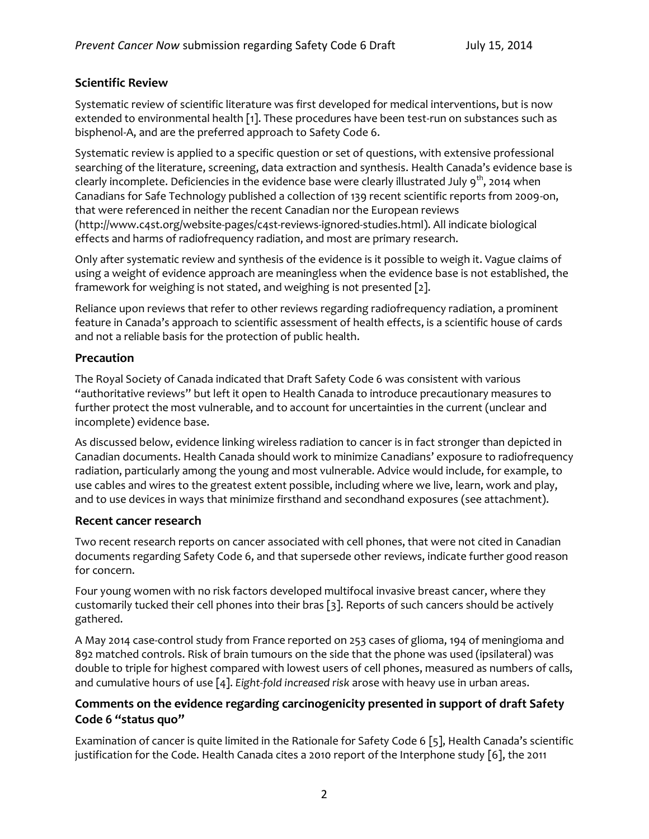### **Scientific Review**

Systematic review of scientific literature was first developed for medical interventions, but is now extended to environmental health [1]. These procedures have been test-run on substances such as bisphenol-A, and are the preferred approach to Safety Code 6.

Systematic review is applied to a specific question or set of questions, with extensive professional searching of the literature, screening, data extraction and synthesis. Health Canada's evidence base is clearly incomplete. Deficiencies in the evidence base were clearly illustrated July  $9<sup>th</sup>$ , 2014 when Canadians for Safe Technology published a collection of 139 recent scientific reports from 2009-on, that were referenced in neither the recent Canadian nor the European reviews (http://www.c4st.org/website-pages/c4st-reviews-ignored-studies.html). All indicate biological effects and harms of radiofrequency radiation, and most are primary research.

Only after systematic review and synthesis of the evidence is it possible to weigh it. Vague claims of using a weight of evidence approach are meaningless when the evidence base is not established, the framework for weighing is not stated, and weighing is not presented [2].

Reliance upon reviews that refer to other reviews regarding radiofrequency radiation, a prominent feature in Canada's approach to scientific assessment of health effects, is a scientific house of cards and not a reliable basis for the protection of public health.

### Precaution

The Royal Society of Canada indicated that Draft Safety Code 6 was consistent with various "authoritative reviews" but left it open to Health Canada to introduce precautionary measures to further protect the most vulnerable, and to account for uncertainties in the current (unclear and incomplete) evidence base.

As discussed below, evidence linking wireless radiation to cancer is in fact stronger than depicted in Canadian documents. Health Canada should work to minimize Canadians' exposure to radiofrequency radiation, particularly among the young and most vulnerable. Advice would include, for example, to use cables and wires to the greatest extent possible, including where we live, learn, work and play, and to use devices in ways that minimize firsthand and secondhand exposures (see attachment).

#### Recent cancer research

Two recent research reports on cancer associated with cell phones, that were not cited in Canadian documents regarding Safety Code 6, and that supersede other reviews, indicate further good reason for concern.

Four young women with no risk factors developed multifocal invasive breast cancer, where they customarily tucked their cell phones into their bras [3]. Reports of such cancers should be actively gathered.

A May 2014 case-control study from France reported on 253 cases of glioma, 194 of meningioma and 892 matched controls. Risk of brain tumours on the side that the phone was used (ipsilateral) was double to triple for highest compared with lowest users of cell phones, measured as numbers of calls, and cumulative hours of use  $[4]$ . Eight-fold increased risk arose with heavy use in urban areas.

## Comments on the evidence regarding carcinogenicity presented in support of draft Safety Code 6 "status quo"

Examination of cancer is quite limited in the Rationale for Safety Code 6 [5], Health Canada's scientific justification for the Code. Health Canada cites a 2010 report of the Interphone study [6], the 2011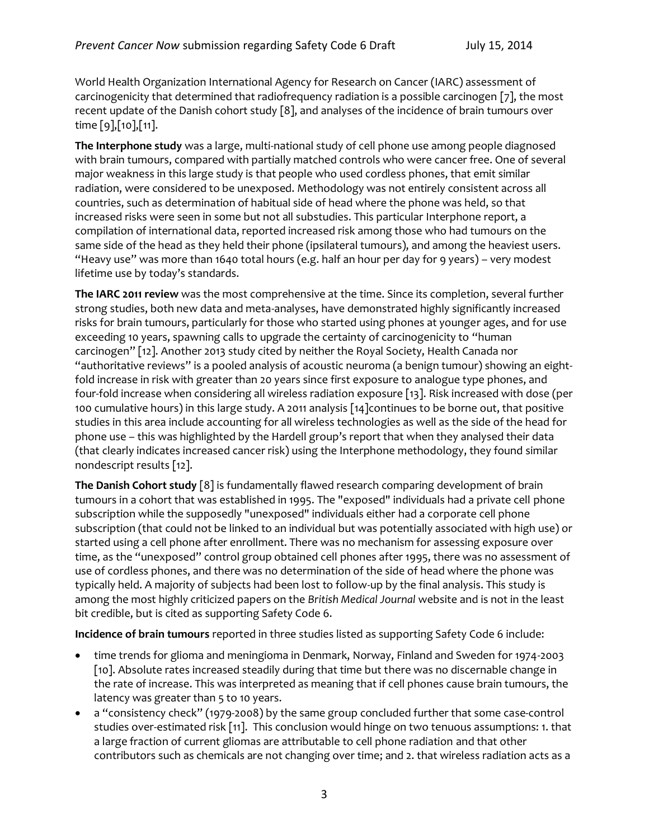World Health Organization International Agency for Research on Cancer (IARC) assessment of carcinogenicity that determined that radiofrequency radiation is a possible carcinogen [7], the most recent update of the Danish cohort study [8], and analyses of the incidence of brain tumours over time  $[9]$ ,  $[10]$ ,  $[11]$ .

The Interphone study was a large, multi-national study of cell phone use among people diagnosed with brain tumours, compared with partially matched controls who were cancer free. One of several major weakness in this large study is that people who used cordless phones, that emit similar radiation, were considered to be unexposed. Methodology was not entirely consistent across all countries, such as determination of habitual side of head where the phone was held, so that increased risks were seen in some but not all substudies. This particular Interphone report, a compilation of international data, reported increased risk among those who had tumours on the same side of the head as they held their phone (ipsilateral tumours), and among the heaviest users. "Heavy use" was more than 1640 total hours (e.g. half an hour per day for 9 years) - very modest lifetime use by today's standards.

The IARC 2011 review was the most comprehensive at the time. Since its completion, several further strong studies, both new data and meta-analyses, have demonstrated highly significantly increased risks for brain tumours, particularly for those who started using phones at younger ages, and for use exceeding 10 years, spawning calls to upgrade the certainty of carcinogenicity to "human carcinogen" [12]. Another 2013 study cited by neither the Royal Society, Health Canada nor "authoritative reviews" is a pooled analysis of acoustic neuroma (a benign tumour) showing an eightfold increase in risk with greater than 20 years since first exposure to analogue type phones, and four-fold increase when considering all wireless radiation exposure [13]. Risk increased with dose (per 100 cumulative hours) in this large study. A 2011 analysis [14] continues to be borne out, that positive studies in this area include accounting for all wireless technologies as well as the side of the head for phone use - this was highlighted by the Hardell group's report that when they analysed their data (that clearly indicates increased cancer risk) using the Interphone methodology, they found similar nondescript results [12].

The Danish Cohort study [8] is fundamentally flawed research comparing development of brain tumours in a cohort that was established in 1995. The "exposed" individuals had a private cell phone subscription while the supposedly "unexposed" individuals either had a corporate cell phone subscription (that could not be linked to an individual but was potentially associated with high use) or started using a cell phone after enrollment. There was no mechanism for assessing exposure over time, as the "unexposed" control group obtained cell phones after 1995, there was no assessment of use of cordless phones, and there was no determination of the side of head where the phone was typically held. A majority of subjects had been lost to follow-up by the final analysis. This study is among the most highly criticized papers on the British Medical Journal website and is not in the least bit credible, but is cited as supporting Safety Code 6.

Incidence of brain tumours reported in three studies listed as supporting Safety Code 6 include:

- time trends for glioma and meningioma in Denmark, Norway, Finland and Sweden for 1974-2003  $\bullet$ [10]. Absolute rates increased steadily during that time but there was no discernable change in the rate of increase. This was interpreted as meaning that if cell phones cause brain tumours, the latency was greater than 5 to 10 years.
- a "consistency check" (1979-2008) by the same group concluded further that some case-control  $\bullet$ studies over-estimated risk [11]. This conclusion would hinge on two tenuous assumptions: 1. that a large fraction of current gliomas are attributable to cell phone radiation and that other contributors such as chemicals are not changing over time; and 2. that wireless radiation acts as a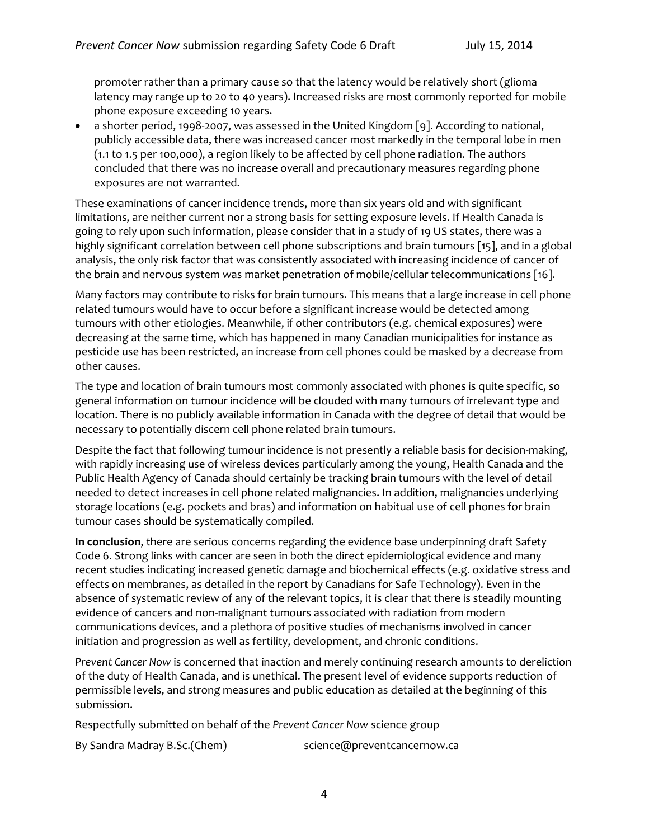promoter rather than a primary cause so that the latency would be relatively short (glioma latency may range up to 20 to 40 years). Increased risks are most commonly reported for mobile phone exposure exceeding 10 years.

a shorter period, 1998-2007, was assessed in the United Kingdom [9]. According to national,  $\bullet$ publicly accessible data, there was increased cancer most markedly in the temporal lobe in men (1.1 to 1.5 per 100,000), a region likely to be affected by cell phone radiation. The authors concluded that there was no increase overall and precautionary measures regarding phone exposures are not warranted.

These examinations of cancer incidence trends, more than six years old and with significant limitations, are neither current nor a strong basis for setting exposure levels. If Health Canada is going to rely upon such information, please consider that in a study of 19 US states, there was a highly significant correlation between cell phone subscriptions and brain tumours [15], and in a global analysis, the only risk factor that was consistently associated with increasing incidence of cancer of the brain and nervous system was market penetration of mobile/cellular telecommunications [16].

Many factors may contribute to risks for brain tumours. This means that a large increase in cell phone related tumours would have to occur before a significant increase would be detected among tumours with other etiologies. Meanwhile, if other contributors (e.g. chemical exposures) were decreasing at the same time, which has happened in many Canadian municipalities for instance as pesticide use has been restricted, an increase from cell phones could be masked by a decrease from other causes.

The type and location of brain tumours most commonly associated with phones is quite specific, so general information on tumour incidence will be clouded with many tumours of irrelevant type and location. There is no publicly available information in Canada with the degree of detail that would be necessary to potentially discern cell phone related brain tumours.

Despite the fact that following tumour incidence is not presently a reliable basis for decision-making, with rapidly increasing use of wireless devices particularly among the young, Health Canada and the Public Health Agency of Canada should certainly be tracking brain tumours with the level of detail needed to detect increases in cell phone related malignancies. In addition, malignancies underlying storage locations (e.g. pockets and bras) and information on habitual use of cell phones for brain tumour cases should be systematically compiled.

In conclusion, there are serious concerns regarding the evidence base underpinning draft Safety Code 6. Strong links with cancer are seen in both the direct epidemiological evidence and many recent studies indicating increased genetic damage and biochemical effects (e.g. oxidative stress and effects on membranes, as detailed in the report by Canadians for Safe Technology). Even in the absence of systematic review of any of the relevant topics, it is clear that there is steadily mounting evidence of cancers and non-malignant tumours associated with radiation from modern communications devices, and a plethora of positive studies of mechanisms involved in cancer initiation and progression as well as fertility, development, and chronic conditions.

Prevent Cancer Now is concerned that inaction and merely continuing research amounts to dereliction of the duty of Health Canada, and is unethical. The present level of evidence supports reduction of permissible levels, and strong measures and public education as detailed at the beginning of this submission.

Respectfully submitted on behalf of the Prevent Cancer Now science group

By Sandra Madray B.Sc.(Chem)

science@preventcancernow.ca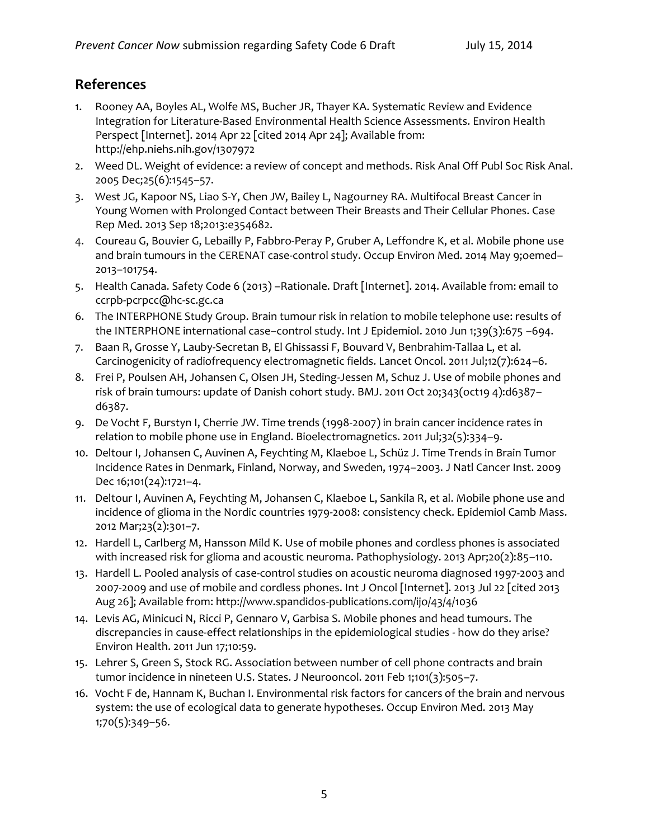# **References**

- 1. Rooney AA, Boyles AL, Wolfe MS, Bucher JR, Thayer KA. Systematic Review and Evidence Integration for Literature-Based Environmental Health Science Assessments. Environ Health Perspect [Internet]. 2014 Apr 22 [cited 2014 Apr 24]; Available from: http://ehp.niehs.nih.gov/1307972
- 2. Weed DL. Weight of evidence: a review of concept and methods. Risk Anal Off Publ Soc Risk Anal. 2005 Dec;25(6):1545-57.
- 3. West JG, Kapoor NS, Liao S-Y, Chen JW, Bailey L, Nagourney RA. Multifocal Breast Cancer in Young Women with Prolonged Contact between Their Breasts and Their Cellular Phones. Case Rep Med. 2013 Sep 18;2013:e354682.
- 4. Coureau G, Bouvier G, Lebailly P, Fabbro-Peray P, Gruber A, Leffondre K, et al. Mobile phone use and brain tumours in the CERENAT case-control study. Occup Environ Med. 2014 May 9;oemed-2013-101754.
- 5. Health Canada. Safety Code 6 (2013) -Rationale. Draft [Internet]. 2014. Available from: email to ccrpb-pcrpcc@hc-sc.gc.ca
- 6. The INTERPHONE Study Group. Brain tumour risk in relation to mobile telephone use: results of the INTERPHONE international case-control study. Int J Epidemiol. 2010 Jun 1;39(3):675 -694.
- 7. Baan R, Grosse Y, Lauby-Secretan B, El Ghissassi F, Bouvard V, Benbrahim-Tallaa L, et al. Carcinogenicity of radiofrequency electromagnetic fields. Lancet Oncol. 2011 Jul;12(7):624-6.
- 8. Frei P, Poulsen AH, Johansen C, Olsen JH, Steding-Jessen M, Schuz J. Use of mobile phones and risk of brain tumours: update of Danish cohort study. BMJ. 2011 Oct 20;343(oct19 4):d6387d6387.
- 9. De Vocht F, Burstyn I, Cherrie JW. Time trends (1998-2007) in brain cancer incidence rates in relation to mobile phone use in England. Bioelectromagnetics. 2011 Jul;32(5):334-9.
- 10. Deltour I, Johansen C, Auvinen A, Feychting M, Klaeboe L, Schüz J. Time Trends in Brain Tumor Incidence Rates in Denmark, Finland, Norway, and Sweden, 1974-2003. J Natl Cancer Inst. 2009 Dec 16;101(24):1721-4.
- 11. Deltour I, Auvinen A, Feychting M, Johansen C, Klaeboe L, Sankila R, et al. Mobile phone use and incidence of glioma in the Nordic countries 1979-2008: consistency check. Epidemiol Camb Mass. 2012 Mar;23(2):301-7.
- 12. Hardell L, Carlberg M, Hansson Mild K. Use of mobile phones and cordless phones is associated with increased risk for glioma and acoustic neuroma. Pathophysiology. 2013 Apr;20(2):85-110.
- 13. Hardell L. Pooled analysis of case-control studies on acoustic neuroma diagnosed 1997-2003 and 2007-2009 and use of mobile and cordless phones. Int J Oncol [Internet]. 2013 Jul 22 [cited 2013 Aug 26]; Available from: http://www.spandidos-publications.com/ijo/43/4/1036
- 14. Levis AG, Minicuci N, Ricci P, Gennaro V, Garbisa S. Mobile phones and head tumours. The discrepancies in cause-effect relationships in the epidemiological studies - how do they arise? Environ Health. 2011 Jun 17;10:59.
- 15. Lehrer S, Green S, Stock RG. Association between number of cell phone contracts and brain tumor incidence in nineteen U.S. States. J Neurooncol. 2011 Feb 1;101(3):505-7.
- 16. Vocht F de, Hannam K, Buchan I. Environmental risk factors for cancers of the brain and nervous system: the use of ecological data to generate hypotheses. Occup Environ Med. 2013 May  $1;70(5):349-56.$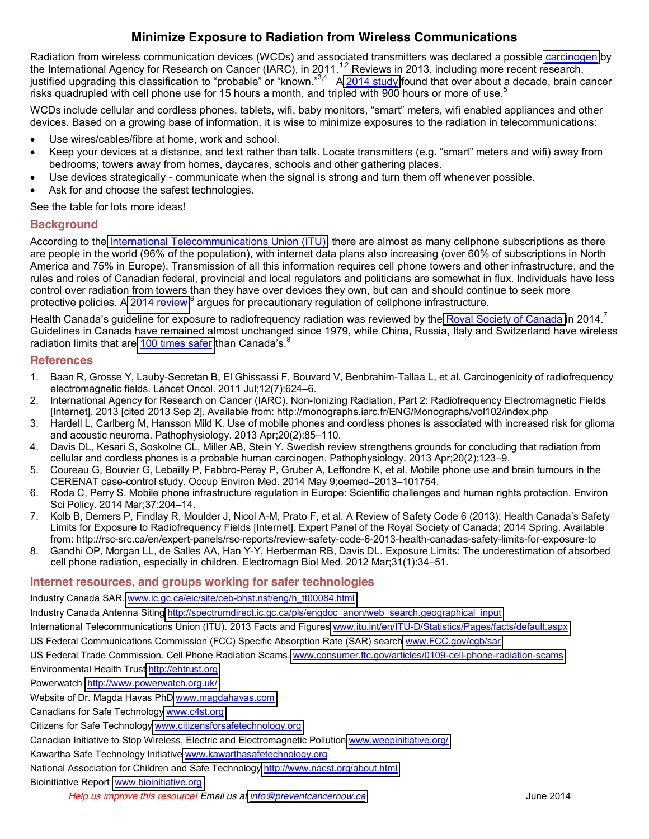## **Minimize Exposure to Radiation from Wireless Communications**

Radiation from wireless communication devices (WCDs) and associated transmitters was declared a possibl[e carcinogen](http://monographs.iarc.fr/ENG/Monographs/vol102/index.php) by the International Agency for Research on Cancer (IARC), in 2011.<sup>1,2</sup> Reviews in 2013, including more recent research, justified upgrading this classification to "probable" or "known."<sup>3,4</sup> A [2014](http://oem.bmj.com/content/early/2014/05/09/oemed-2013-101754) study found that over about a decade, brain cancer risks quadrupled with cell phone use for 15 hours a month, and tripled with 900 hours or more of use.<sup>5</sup>

WCDs include cellular and cordless phones, tablets, wifi, baby monitors, "smart" meters, wifi enabled appliances and other devices. Based on a growing base of information, it is wise to minimize exposures to the radiation in telecommunications:

- Use wires/cables/fibre at home, work and school.
- Keep your devices at a distance, and text rather than talk. Locate transmitters (e.g. "smart" meters and wifi) away from bedrooms; towers away from homes, daycares, schools and other gathering places.
- Use devices strategically communicate when the signal is strong and turn them off whenever possible.
- Ask for and choose the safest technologies.

See the table for lots more ideas!

#### **Background**

According to the [International Telecommunications Union \(ITU\),](http://www.itu.int/en/ITU-D/Statistics/Pages/facts/default.aspx) there are almost as many cellphone subscriptions as there are people in the world (96% of the population), with internet data plans also increasing (over 60% of subscriptions in North America and 75% in Europe). Transmission of all this information requires cell phone towers and other infrastructure, and the rules and roles of Canadian federal, provincial and local regulators and politicians are somewhat in flux. Individuals have less control over radiation from towers than they have over devices they own, but can and should continue to seek more protective policies. A [2014 review](http://ac.aup.fr/~croda/publications/Roda&Perry_EnvSci&Policy_OrigManuscr.pdf) <sup>6</sup> argues for precautionary regulation of cellphone infrastructure.

Health Canada's guideline for exposure to radiofrequency radiation was reviewed by the [Royal Society of Canada](http://rsc-src.ca/en/expert-panels/rsc-reports/review-safety-code-6-potential-health-risks-radiofrequency-fields-from) in 2014. Guidelines in Canada have remained almost unchanged since 1979, while China, Russia, Italy and Switzerland have wireless radiation limits that ar[e 100 times safer](http://informahealthcare.com/doi/abs/10.3109/15368378.2011.622827) than Canada's.<sup>8</sup>

#### **References**

- 1. Baan R, Grosse Y, Lauby-Secretan B, El Ghissassi F, Bouvard V, Benbrahim-Tallaa L, et al. Carcinogenicity of radiofrequency electromagnetic fields. Lancet Oncol. 2011 Jul:12(7):624-6.
- 2. International Agency for Research on Cancer (IARC). Non-Ionizing Radiation, Part 2: Radiofrequency Electromagnetic Fields [Internet]. 2013 [cited 2013 Sep 2]. Available from: http://monographs.iarc.fr/ENG/Monographs/vol102/index.php
- 3. Hardell L, Carlberg M, Hansson Mild K. Use of mobile phones and cordless phones is associated with increased risk for glioma and acoustic neuroma. Pathophysiology. 2013 Apr;20(2):85-110.
- 4. Davis DL, Kesari S, Soskolne CL, Miller AB, Stein Y. Swedish review strengthens grounds for concluding that radiation from cellular and cordless phones is a probable human carcinogen. Pathophysiology. 2013 Apr;20(2):123-9.
- 5. Coureau G, Bouvier G, Lebailly P, Fabbro-Peray P, Gruber A, Leffondre K, et al. Mobile phone use and brain tumours in the CERENAT case-control study. Occup Environ Med. 2014 May 9;oemed-2013-101754.
- 6. Roda C, Perry S. Mobile phone infrastructure regulation in Europe: Scientific challenges and human rights protection. Environ Sci Policy. 2014 Mar; 37: 204-14.
- 7. Kolb B, Demers P, Findlay R, Moulder J, Nicol A-M, Prato F, et al. A Review of Safety Code 6 (2013): Health Canada's Safety Limits for Exposure to Radiofrequency Fields [Internet]. Expert Panel of the Royal Society of Canada; 2014 Spring. Available from: http://rsc-src.ca/en/expert-panels/rsc-reports/review-safety-code-6-2013-health-canadas-safety-limits-for-exposure-to
- 8. Gandhi OP, Morgan LL, de Salles AA, Han Y-Y, Herberman RB, Davis DL. Exposure Limits: The underestimation of absorbed cell phone radiation, especially in children. Electromagn Biol Med. 2012 Mar;31(1):34-51.

#### **Internet resources, and groups working for safer technologies**

Industry Canada SAR. [www.ic.gc.ca/eic/site/ceb-bhst.nsf/eng/h\\_tt00084.html](http://www.ic.gc.ca/eic/site/ceb-bhst.nsf/eng/h_tt00084.html)

Industry Canada Antenna Siting [http://spectrumdirect.ic.gc.ca/pls/engdoc\\_anon/web\\_search.geographical\\_input](http://spectrumdirect.ic.gc.ca/pls/engdoc_anon/web_search.geographical_input)

International Telecommunications Union (ITU). 2013 Facts and Figures [www.itu.int/en/ITU-D/Statistics/Pages/facts/default.aspx](http://www.itu.int/en/ITU-D/Statistics/Pages/facts/default.aspx)

US Federal Communications Commission (FCC) Specific Absorption Rate (SAR) search [www.FCC.gov/cgb/sar](http://www.fcc.gov/cgb/sar)

US Federal Trade Commission. Cell Phone Radiation Scams. [www.consumer.ftc.gov/articles/0109-cell-phone-radiation-scams](http://www.consumer.ftc.gov/articles/0109-cell-phone-radiation-scams)

Environmental Health Trust [http://ehtrust.org](http://ehtrust.org/)

Powerwatch<http://www.powerwatch.org.uk/>

Website of Dr. Magda Havas PhD [www.magdahavas.com](http://www.magdahavas.com/)

Canadians for Safe Technology [www.c4st.org](http://www.c4st.org/)

Citizens for Safe Technology [www.citizensforsafetechnology.org](http://www.citizensforsafetechnology.org/)

Canadian Initiative to Stop Wireless, Electric and Electromagnetic Pollution [www.weepinitiative.org/](http://www.weepinitiative.org/)

Kawartha Safe Technology Initiativ[e www.kawarthasafetechnology.org](http://www.kawarthasafetechnology.org/)

National Association for Children and Safe Technology<http://www.nacst.org/about.html>

#### Bioinitiative Report [www.bioinitiative.org](http://www.bioinitiative.org/)

*Help us improve this resource! Email us a[t info@preventcancernow.ca](mailto:info@preventcancernow.ca)* June 2014